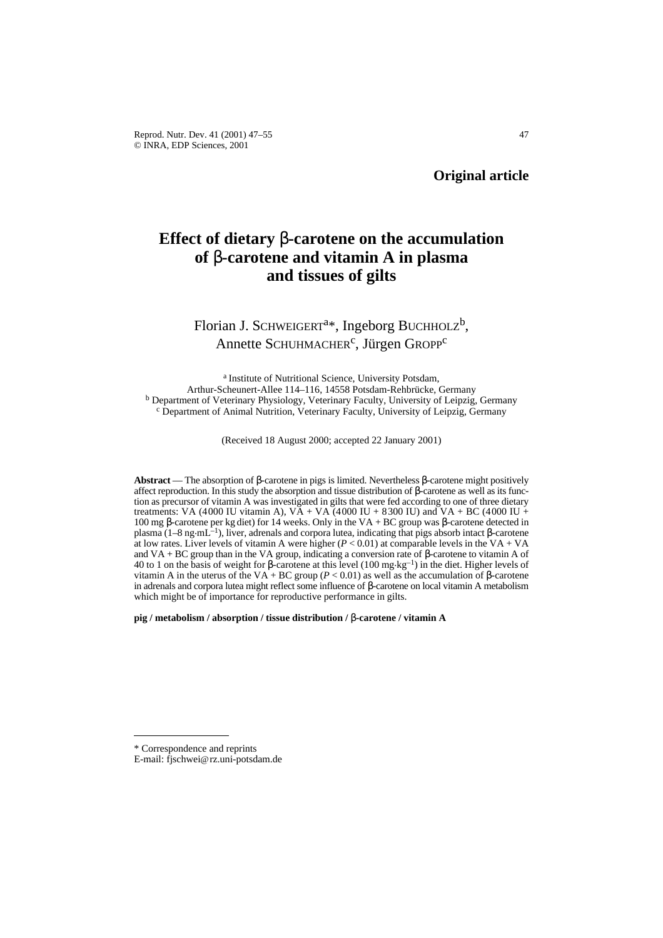# **Effect of dietary** β**-carotene on the accumulation of** β**-carotene and vitamin A in plasma and tissues of gilts**

# Florian J. SCHWEIGERT<sup>a\*</sup>, Ingeborg BUCHHOLZ<sup>b</sup>, Annette SCHUHMACHER<sup>c</sup>, Jürgen GROPP<sup>c</sup>

a Institute of Nutritional Science, University Potsdam, Arthur-Scheunert-Allee 114–116, 14558 Potsdam-Rehbrücke, Germany <sup>b</sup> Department of Veterinary Physiology, Veterinary Faculty, University of Leipzig, Germany <sup>c</sup> Department of Animal Nutrition, Veterinary Faculty, University of Leipzig, Germany

(Received 18 August 2000; accepted 22 January 2001)

**Abstract** — The absorption of β-carotene in pigs is limited. Nevertheless β-carotene might positively affect reproduction. In this study the absorption and tissue distribution of β-carotene as well as its function as precursor of vitamin A was investigated in gilts that were fed according to one of three dietary treatments: VA (4000 IU vitamin A), VA + VA (4000 IU + 8300 IU) and VA + BC (4000 IU + 100 mg β-carotene per kg diet) for 14 weeks. Only in the VA + BC group was β-carotene detected in plasma (1–8 ng.mL–1), liver, adrenals and corpora lutea, indicating that pigs absorb intact β-carotene at low rates. Liver levels of vitamin A were higher  $(P < 0.01)$  at comparable levels in the VA + VA and VA + BC group than in the VA group, indicating a conversion rate of β-carotene to vitamin A of 40 to 1 on the basis of weight for β-carotene at this level (100 mg.kg–1) in the diet. Higher levels of vitamin A in the uterus of the VA + BC group ( $P < 0.01$ ) as well as the accumulation of β-carotene in adrenals and corpora lutea might reflect some influence of β-carotene on local vitamin A metabolism which might be of importance for reproductive performance in gilts.

**pig / metabolism / absorption / tissue distribution /** β**-carotene / vitamin A** 

<sup>\*</sup> Correspondence and reprints

E-mail: fjschwei@rz.uni-potsdam.de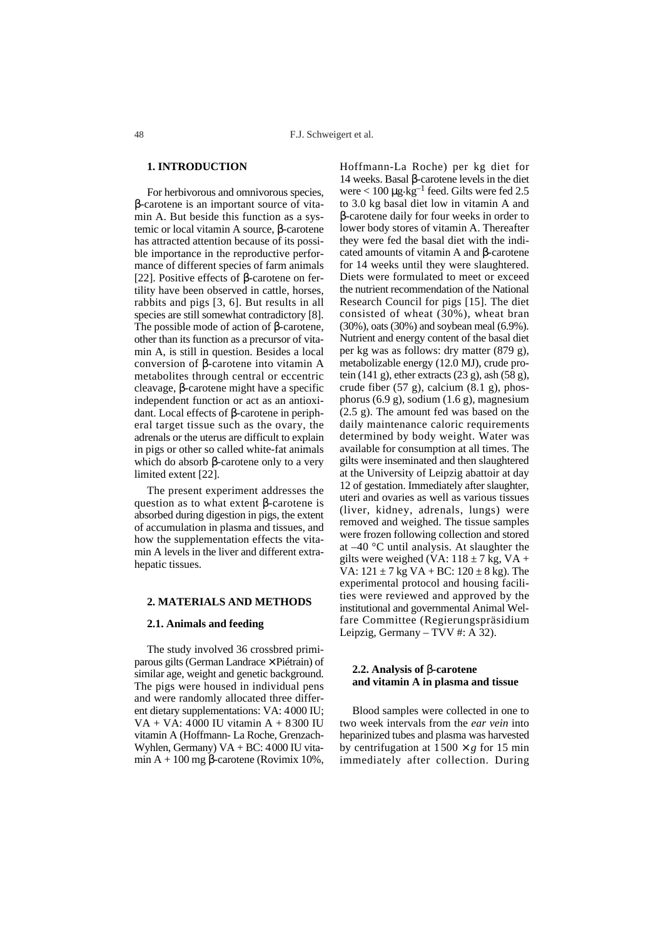# **1. INTRODUCTION**

For herbivorous and omnivorous species, β-carotene is an important source of vitamin A. But beside this function as a systemic or local vitamin A source, β-carotene has attracted attention because of its possible importance in the reproductive performance of different species of farm animals [22]. Positive effects of β-carotene on fertility have been observed in cattle, horses, rabbits and pigs [3, 6]. But results in all species are still somewhat contradictory [8]. The possible mode of action of β-carotene, other than its function as a precursor of vitamin A, is still in question. Besides a local conversion of β-carotene into vitamin A metabolites through central or eccentric cleavage, β-carotene might have a specific independent function or act as an antioxidant. Local effects of β-carotene in peripheral target tissue such as the ovary, the adrenals or the uterus are difficult to explain in pigs or other so called white-fat animals which do absorb β-carotene only to a very limited extent [22].

The present experiment addresses the question as to what extent β-carotene is absorbed during digestion in pigs, the extent of accumulation in plasma and tissues, and how the supplementation effects the vitamin A levels in the liver and different extrahepatic tissues.

## **2. MATERIALS AND METHODS**

### **2.1. Animals and feeding**

The study involved 36 crossbred primiparous gilts (German Landrace × Piétrain) of similar age, weight and genetic background. The pigs were housed in individual pens and were randomly allocated three different dietary supplementations: VA: 4000 IU; VA + VA: 4000 IU vitamin A + 8300 IU vitamin A (Hoffmann- La Roche, Grenzach-Wyhlen, Germany) VA + BC: 4000 IU vitamin A + 100 mg β-carotene (Rovimix 10%, Hoffmann-La Roche) per kg diet for 14 weeks. Basal β-carotene levels in the diet were  $< 100 \mu g \cdot kg^{-1}$  feed. Gilts were fed 2.5 to 3.0 kg basal diet low in vitamin A and β-carotene daily for four weeks in order to lower body stores of vitamin A. Thereafter they were fed the basal diet with the indicated amounts of vitamin A and β-carotene for 14 weeks until they were slaughtered. Diets were formulated to meet or exceed the nutrient recommendation of the National Research Council for pigs [15]. The diet consisted of wheat (30%), wheat bran (30%), oats (30%) and soybean meal (6.9%). Nutrient and energy content of the basal diet per kg was as follows: dry matter (879 g), metabolizable energy (12.0 MJ), crude protein (141 g), ether extracts (23 g), ash (58 g), crude fiber (57 g), calcium (8.1 g), phosphorus  $(6.9 \text{ g})$ , sodium  $(1.6 \text{ g})$ , magnesium (2.5 g). The amount fed was based on the daily maintenance caloric requirements determined by body weight. Water was available for consumption at all times. The gilts were inseminated and then slaughtered at the University of Leipzig abattoir at day 12 of gestation. Immediately after slaughter, uteri and ovaries as well as various tissues (liver, kidney, adrenals, lungs) were removed and weighed. The tissue samples were frozen following collection and stored at –40 °C until analysis. At slaughter the gilts were weighed (VA:  $118 \pm 7$  kg, VA + VA:  $121 \pm 7$  kg VA + BC:  $120 \pm 8$  kg). The experimental protocol and housing facilities were reviewed and approved by the institutional and governmental Animal Welfare Committee (Regierungspräsidium Leipzig, Germany – TVV #: A 32).

# **2.2. Analysis of** β**-carotene and vitamin A in plasma and tissue**

Blood samples were collected in one to two week intervals from the *ear vein* into heparinized tubes and plasma was harvested by centrifugation at  $1500 \times g$  for 15 min immediately after collection. During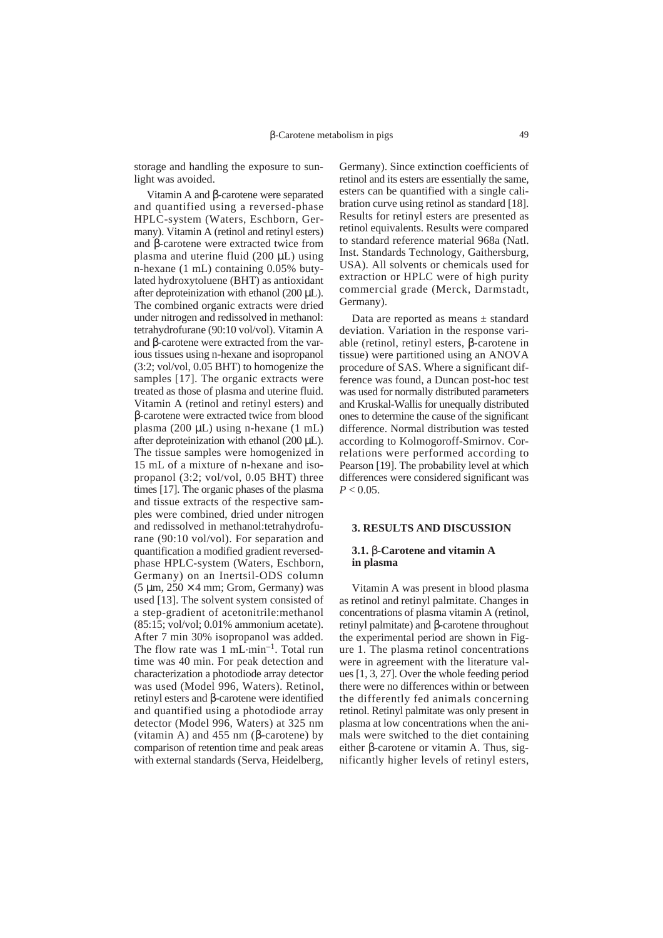storage and handling the exposure to sunlight was avoided.

Vitamin A and β-carotene were separated and quantified using a reversed-phase HPLC-system (Waters, Eschborn, Germany). Vitamin A (retinol and retinyl esters) and β-carotene were extracted twice from plasma and uterine fluid (200 µL) using n-hexane (1 mL) containing 0.05% butylated hydroxytoluene (BHT) as antioxidant after deproteinization with ethanol (200 µL). The combined organic extracts were dried under nitrogen and redissolved in methanol: tetrahydrofurane (90:10 vol/vol). Vitamin A and β-carotene were extracted from the various tissues using n-hexane and isopropanol (3:2; vol/vol, 0.05 BHT) to homogenize the samples [17]. The organic extracts were treated as those of plasma and uterine fluid. Vitamin A (retinol and retinyl esters) and β-carotene were extracted twice from blood plasma (200  $\mu$ L) using n-hexane (1 mL) after deproteinization with ethanol (200 µL). The tissue samples were homogenized in 15 mL of a mixture of n-hexane and isopropanol (3:2; vol/vol, 0.05 BHT) three times [17]. The organic phases of the plasma and tissue extracts of the respective samples were combined, dried under nitrogen and redissolved in methanol:tetrahydrofurane (90:10 vol/vol). For separation and quantification a modified gradient reversedphase HPLC-system (Waters, Eschborn, Germany) on an Inertsil-ODS column  $(5 \mu m, 250 \times 4 \text{ mm})$ ; Grom, Germany) was used [13]. The solvent system consisted of a step-gradient of acetonitrile:methanol (85:15; vol/vol; 0.01% ammonium acetate). After 7 min 30% isopropanol was added. The flow rate was  $1 \text{ mL-min}^{-1}$ . Total run time was 40 min. For peak detection and characterization a photodiode array detector was used (Model 996, Waters). Retinol, retinyl esters and β-carotene were identified and quantified using a photodiode array detector (Model 996, Waters) at 325 nm (vitamin A) and 455 nm (β-carotene) by comparison of retention time and peak areas with external standards (Serva, Heidelberg, Germany). Since extinction coefficients of retinol and its esters are essentially the same, esters can be quantified with a single calibration curve using retinol as standard [18]. Results for retinyl esters are presented as retinol equivalents. Results were compared to standard reference material 968a (Natl. Inst. Standards Technology, Gaithersburg, USA). All solvents or chemicals used for extraction or HPLC were of high purity commercial grade (Merck, Darmstadt, Germany).

Data are reported as means ± standard deviation. Variation in the response variable (retinol, retinyl esters, β-carotene in tissue) were partitioned using an ANOVA procedure of SAS. Where a significant difference was found, a Duncan post-hoc test was used for normally distributed parameters and Kruskal-Wallis for unequally distributed ones to determine the cause of the significant difference. Normal distribution was tested according to Kolmogoroff-Smirnov. Correlations were performed according to Pearson [19]. The probability level at which differences were considered significant was  $P < 0.05$ .

## **3. RESULTS AND DISCUSSION**

## **3.1.** β**-Carotene and vitamin A in plasma**

Vitamin A was present in blood plasma as retinol and retinyl palmitate. Changes in concentrations of plasma vitamin A (retinol, retinyl palmitate) and β-carotene throughout the experimental period are shown in Figure 1. The plasma retinol concentrations were in agreement with the literature values [1, 3, 27]. Over the whole feeding period there were no differences within or between the differently fed animals concerning retinol. Retinyl palmitate was only present in plasma at low concentrations when the animals were switched to the diet containing either β-carotene or vitamin A. Thus, significantly higher levels of retinyl esters,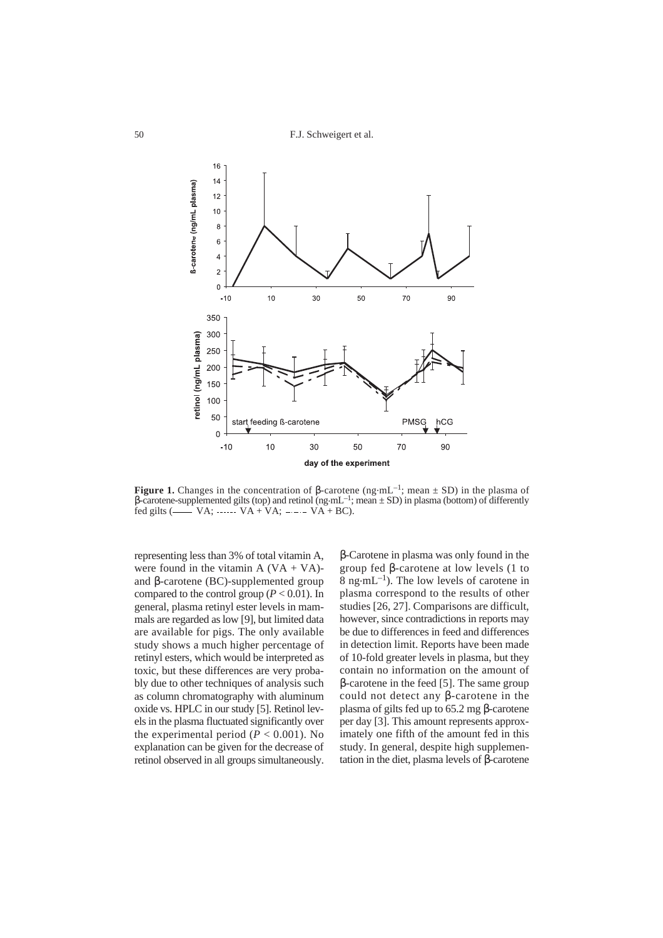F.J. Schweigert et al.



**Figure 1.** Changes in the concentration of β-carotene (ng.mL–1; mean ± SD) in the plasma of β-carotene-supplemented gilts (top) and retinol (ng·mL<sup>-1</sup>; mean  $\pm$  SD) in plasma (bottom) of differently fed gilts  $($  VA; …… VA + VA; …— VA + BC).

representing less than 3% of total vitamin A, were found in the vitamin  $A (VA + VA)$ and β-carotene (BC)-supplemented group compared to the control group  $(P < 0.01)$ . In general, plasma retinyl ester levels in mammals are regarded as low [9], but limited data are available for pigs. The only available study shows a much higher percentage of retinyl esters, which would be interpreted as toxic, but these differences are very probably due to other techniques of analysis such as column chromatography with aluminum oxide vs. HPLC in our study [5]. Retinol levels in the plasma fluctuated significantly over the experimental period ( $P < 0.001$ ). No explanation can be given for the decrease of retinol observed in all groups simultaneously.

β-Carotene in plasma was only found in the group fed β-carotene at low levels (1 to  $8 \text{ ng} \cdot \text{mL}^{-1}$ ). The low levels of carotene in plasma correspond to the results of other studies [26, 27]. Comparisons are difficult, however, since contradictions in reports may be due to differences in feed and differences in detection limit. Reports have been made of 10-fold greater levels in plasma, but they contain no information on the amount of β-carotene in the feed [5]. The same group could not detect any β-carotene in the plasma of gilts fed up to 65.2 mg β-carotene per day [3]. This amount represents approximately one fifth of the amount fed in this study. In general, despite high supplementation in the diet, plasma levels of β-carotene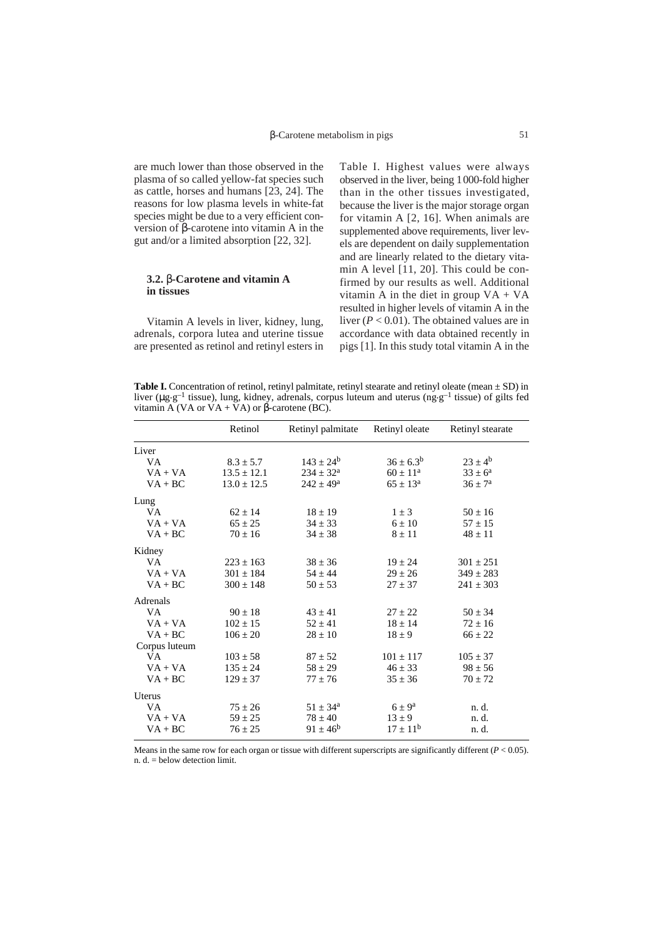are much lower than those observed in the plasma of so called yellow-fat species such as cattle, horses and humans [23, 24]. The reasons for low plasma levels in white-fat species might be due to a very efficient conversion of β-carotene into vitamin A in the gut and/or a limited absorption [22, 32].

# **3.2.** β**-Carotene and vitamin A in tissues**

Vitamin A levels in liver, kidney, lung, adrenals, corpora lutea and uterine tissue are presented as retinol and retinyl esters in Table I. Highest values were always observed in the liver, being 1000-fold higher than in the other tissues investigated, because the liver is the major storage organ for vitamin A [2, 16]. When animals are supplemented above requirements, liver levels are dependent on daily supplementation and are linearly related to the dietary vitamin A level [11, 20]. This could be confirmed by our results as well. Additional vitamin A in the diet in group  $VA + VA$ resulted in higher levels of vitamin A in the liver (*P* < 0.01). The obtained values are in accordance with data obtained recently in pigs [1]. In this study total vitamin A in the

**Table I.** Concentration of retinol, retinyl palmitate, retinyl stearate and retinyl oleate (mean ± SD) in liver (µg.g–1 tissue), lung, kidney, adrenals, corpus luteum and uterus (ng.g–1 tissue) of gilts fed vitamin A (VA or VA + VA) or β-carotene (BC).

|               | Retinol         | Retinyl palmitate    | Retinyl oleate      | Retinyl stearate   |
|---------------|-----------------|----------------------|---------------------|--------------------|
| Liver         |                 |                      |                     |                    |
| VA.           | $8.3 \pm 5.7$   | $143 \pm 24^b$       | $36 \pm 6.3^b$      | $23 \pm 4^{\rm b}$ |
| $VA + VA$     | $13.5 \pm 12.1$ | $234 \pm 32^{\rm a}$ | $60 + 11^a$         | $33 \pm 6^a$       |
| $VA + BC$     | $13.0 \pm 12.5$ | $242 \pm 49^{\rm a}$ | $65 \pm 13^{\rm a}$ | $36 \pm 7^{\rm a}$ |
| Lung          |                 |                      |                     |                    |
| VA.           | $62 \pm 14$     | $18 \pm 19$          | $1 \pm 3$           | $50 \pm 16$        |
| $VA + VA$     | $65 \pm 25$     | $34 \pm 33$          | $6 \pm 10$          | $57 \pm 15$        |
| $VA + BC$     | $70 \pm 16$     | $34 \pm 38$          | $8 \pm 11$          | $48 \pm 11$        |
| Kidney        |                 |                      |                     |                    |
| VA.           | $223 \pm 163$   | $38 \pm 36$          | $19 \pm 24$         | $301 \pm 251$      |
| $VA + VA$     | $301 \pm 184$   | $54 \pm 44$          | $29 \pm 26$         | $349 \pm 283$      |
| $VA + BC$     | $300 \pm 148$   | $50 \pm 53$          | $27 \pm 37$         | $241 \pm 303$      |
| Adrenals      |                 |                      |                     |                    |
| VA.           | $90 \pm 18$     | $43 \pm 41$          | $27 \pm 22$         | $50 \pm 34$        |
| $VA + VA$     | $102 \pm 15$    | $52 \pm 41$          | $18 \pm 14$         | $72 \pm 16$        |
| $VA + BC$     | $106 \pm 20$    | $28 \pm 10$          | $18 \pm 9$          | $66 \pm 22$        |
| Corpus luteum |                 |                      |                     |                    |
| VA            | $103 \pm 58$    | $87 \pm 52$          | $101 \pm 117$       | $105 \pm 37$       |
| $VA + VA$     | $135 \pm 24$    | $58 \pm 29$          | $46 \pm 33$         | $98 \pm 56$        |
| $VA + BC$     | $129 \pm 37$    | $77 \pm 76$          | $35 \pm 36$         | $70 \pm 72$        |
| Uterus        |                 |                      |                     |                    |
| VA            | $75 \pm 26$     | $51 \pm 34^{\rm a}$  | $6 \pm 9^a$         | n. d.              |
| $VA + VA$     | $59 \pm 25$     | $78 \pm 40$          | $13 \pm 9$          | n. d.              |
| $VA + BC$     | $76 \pm 25$     | $91 \pm 46^b$        | $17 \pm 11^{b}$     | n. d.              |

Means in the same row for each organ or tissue with different superscripts are significantly different (*P* < 0.05). n. d. = below detection limit.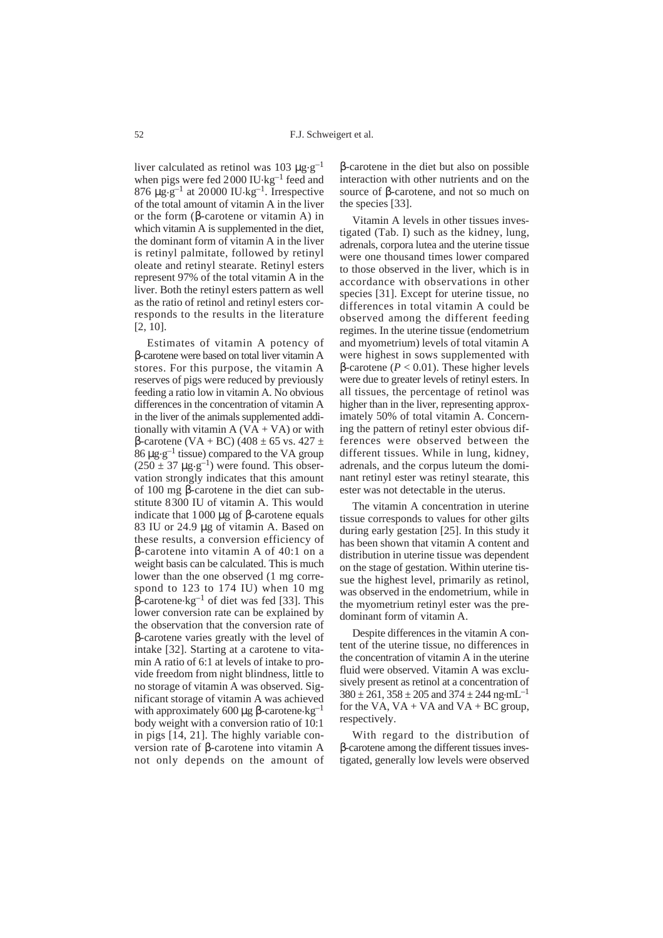liver calculated as retinol was 103  $\mu$ g.g<sup>-1</sup> when pigs were fed 2000 IU $\text{kg}^{-1}$  feed and 876  $\mu$ g.g<sup>-1</sup> at 20000 IU.kg<sup>-1</sup>. Irrespective of the total amount of vitamin A in the liver or the form (β-carotene or vitamin A) in which vitamin A is supplemented in the diet. the dominant form of vitamin A in the liver is retinyl palmitate, followed by retinyl oleate and retinyl stearate. Retinyl esters represent 97% of the total vitamin A in the liver. Both the retinyl esters pattern as well as the ratio of retinol and retinyl esters corresponds to the results in the literature [2, 10].

Estimates of vitamin A potency of β-carotene were based on total liver vitamin A stores. For this purpose, the vitamin A reserves of pigs were reduced by previously feeding a ratio low in vitamin A. No obvious differences in the concentration of vitamin A in the liver of the animals supplemented additionally with vitamin  $A (VA + VA)$  or with β-carotene (VA + BC) (408 ± 65 vs. 427 ± 86  $\mu$ g.g<sup>-1</sup> tissue) compared to the VA group  $(250 \pm 37 \text{ µg·g}^{-1})$  were found. This observation strongly indicates that this amount of 100 mg β-carotene in the diet can substitute 8300 IU of vitamin A. This would indicate that 1000  $\mu$ g of β-carotene equals 83 IU or 24.9 µg of vitamin A. Based on these results, a conversion efficiency of β-carotene into vitamin A of 40:1 on a weight basis can be calculated. This is much lower than the one observed (1 mg correspond to 123 to 174 IU) when 10 mg  $β$ -carotene·kg<sup>-1</sup> of diet was fed [33]. This lower conversion rate can be explained by the observation that the conversion rate of β-carotene varies greatly with the level of intake [32]. Starting at a carotene to vitamin A ratio of 6:1 at levels of intake to provide freedom from night blindness, little to no storage of vitamin A was observed. Significant storage of vitamin A was achieved with approximately 600 μg β-carotene $kg^{-1}$ body weight with a conversion ratio of 10:1 in pigs [14, 21]. The highly variable conversion rate of β-carotene into vitamin A not only depends on the amount of

β-carotene in the diet but also on possible interaction with other nutrients and on the source of β-carotene, and not so much on the species [33].

Vitamin A levels in other tissues investigated (Tab. I) such as the kidney, lung, adrenals, corpora lutea and the uterine tissue were one thousand times lower compared to those observed in the liver, which is in accordance with observations in other species [31]. Except for uterine tissue, no differences in total vitamin A could be observed among the different feeding regimes. In the uterine tissue (endometrium and myometrium) levels of total vitamin A were highest in sows supplemented with β-carotene (*P* < 0.01). These higher levels were due to greater levels of retinyl esters. In all tissues, the percentage of retinol was higher than in the liver, representing approximately 50% of total vitamin A. Concerning the pattern of retinyl ester obvious differences were observed between the different tissues. While in lung, kidney, adrenals, and the corpus luteum the dominant retinyl ester was retinyl stearate, this ester was not detectable in the uterus.

The vitamin A concentration in uterine tissue corresponds to values for other gilts during early gestation [25]. In this study it has been shown that vitamin A content and distribution in uterine tissue was dependent on the stage of gestation. Within uterine tissue the highest level, primarily as retinol, was observed in the endometrium, while in the myometrium retinyl ester was the predominant form of vitamin A.

Despite differences in the vitamin A content of the uterine tissue, no differences in the concentration of vitamin A in the uterine fluid were observed. Vitamin A was exclusively present as retinol at a concentration of  $380 \pm 261$ ,  $358 \pm 205$  and  $374 \pm 244$  ng·mL<sup>-1</sup> for the VA,  $VA + VA$  and  $VA + BC$  group, respectively.

With regard to the distribution of β-carotene among the different tissues investigated, generally low levels were observed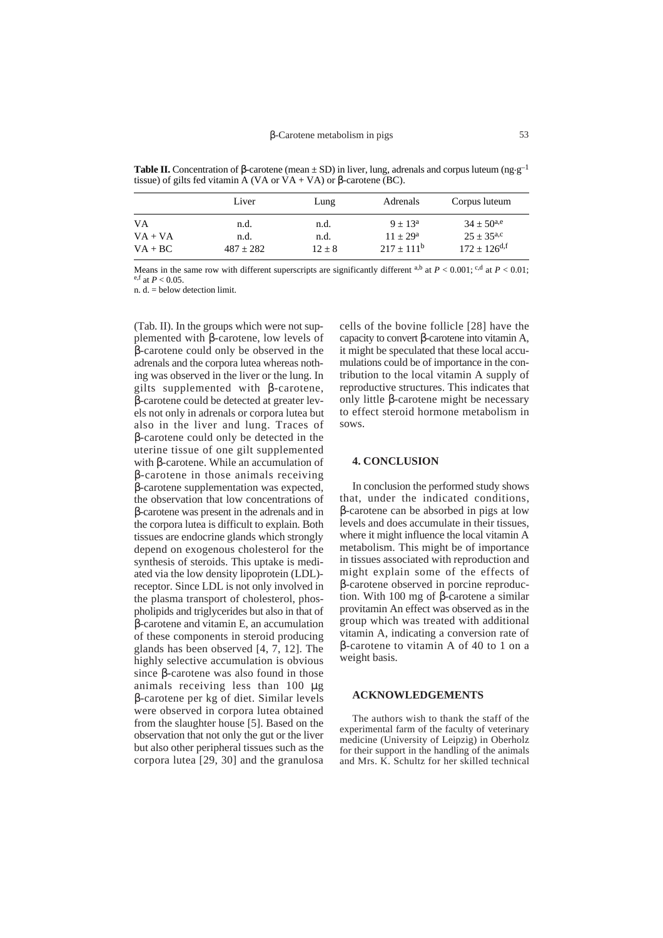**Table II.** Concentration of β-carotene (mean  $\pm$  SD) in liver, lung, adrenals and corpus luteum (ng.g<sup>-1</sup>) tissue) of gilts fed vitamin A (VA or VA + VA) or β-carotene (BC).

|                        | Liver               | Lung             | Adrenals                     | Corpus luteum                                 |
|------------------------|---------------------|------------------|------------------------------|-----------------------------------------------|
| VA                     | n.d.                | n.d.             | $9 + 13^a$                   | $34 + 50^{a,e}$                               |
| $VA + VA$<br>$VA + BC$ | n.d.<br>$487 + 282$ | n.d.<br>$12 + 8$ | $11 + 29^a$<br>$217 + 111^b$ | $25 + 35^{a,c}$<br>$172 + 126$ <sup>d,f</sup> |

Means in the same row with different superscripts are significantly different a,b at  $P < 0.001$ ; <sup>c,d</sup> at  $P < 0.01$ ;  $e, f$  at  $P < 0.05$ .

n. d. = below detection limit.

(Tab. II). In the groups which were not supplemented with β-carotene, low levels of β-carotene could only be observed in the adrenals and the corpora lutea whereas nothing was observed in the liver or the lung. In gilts supplemented with β-carotene, β-carotene could be detected at greater levels not only in adrenals or corpora lutea but also in the liver and lung. Traces of β-carotene could only be detected in the uterine tissue of one gilt supplemented with β-carotene. While an accumulation of β-carotene in those animals receiving β-carotene supplementation was expected, the observation that low concentrations of β-carotene was present in the adrenals and in the corpora lutea is difficult to explain. Both tissues are endocrine glands which strongly depend on exogenous cholesterol for the synthesis of steroids. This uptake is mediated via the low density lipoprotein (LDL) receptor. Since LDL is not only involved in the plasma transport of cholesterol, phospholipids and triglycerides but also in that of β-carotene and vitamin E, an accumulation of these components in steroid producing glands has been observed [4, 7, 12]. The highly selective accumulation is obvious since β-carotene was also found in those animals receiving less than 100 µg β-carotene per kg of diet. Similar levels were observed in corpora lutea obtained from the slaughter house [5]. Based on the observation that not only the gut or the liver but also other peripheral tissues such as the corpora lutea [29, 30] and the granulosa cells of the bovine follicle [28] have the capacity to convert β-carotene into vitamin A, it might be speculated that these local accumulations could be of importance in the contribution to the local vitamin A supply of reproductive structures. This indicates that only little β-carotene might be necessary to effect steroid hormone metabolism in sows.

### **4. CONCLUSION**

In conclusion the performed study shows that, under the indicated conditions, β-carotene can be absorbed in pigs at low levels and does accumulate in their tissues, where it might influence the local vitamin A metabolism. This might be of importance in tissues associated with reproduction and might explain some of the effects of β-carotene observed in porcine reproduction. With 100 mg of β-carotene a similar provitamin An effect was observed as in the group which was treated with additional vitamin A, indicating a conversion rate of β-carotene to vitamin A of 40 to 1 on a weight basis.

#### **ACKNOWLEDGEMENTS**

The authors wish to thank the staff of the experimental farm of the faculty of veterinary medicine (University of Leipzig) in Oberholz for their support in the handling of the animals and Mrs. K. Schultz for her skilled technical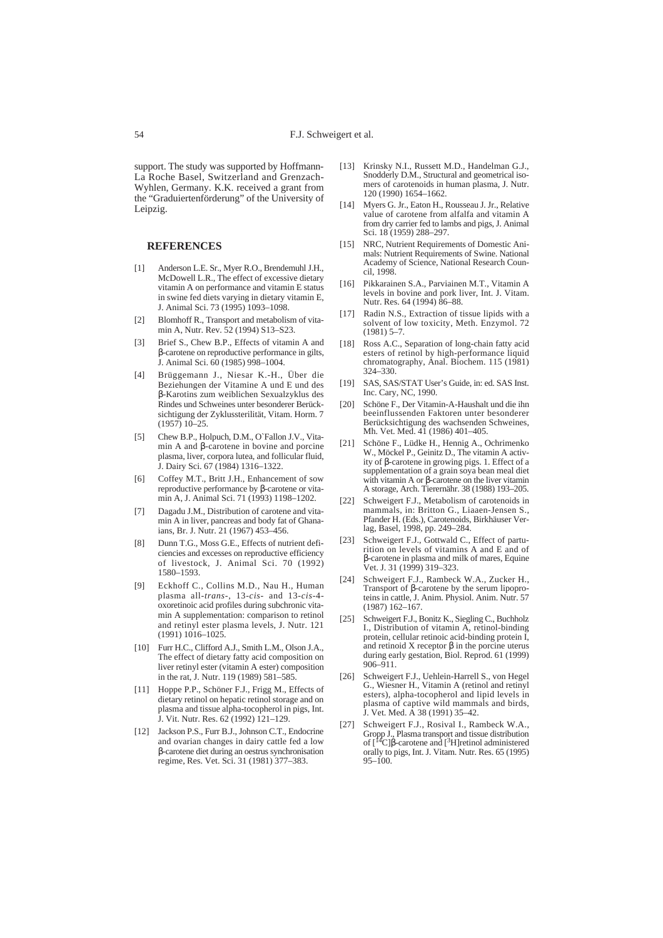support. The study was supported by Hoffmann-La Roche Basel, Switzerland and Grenzach-Wyhlen, Germany. K.K. received a grant from the "Graduiertenförderung" of the University of Leipzig.

#### **REFERENCES**

- [1] Anderson L.E. Sr., Myer R.O., Brendemuhl J.H., McDowell L.R., The effect of excessive dietary vitamin A on performance and vitamin E status in swine fed diets varying in dietary vitamin E, J. Animal Sci. 73 (1995) 1093–1098.
- [2] Blomhoff R., Transport and metabolism of vitamin A, Nutr. Rev. 52 (1994) S13–S23.
- [3] Brief S., Chew B.P., Effects of vitamin A and β-carotene on reproductive performance in gilts, J. Animal Sci. 60 (1985) 998–1004.
- [4] Brüggemann J., Niesar K.-H., Über die Beziehungen der Vitamine A und E und des β-Karotins zum weiblichen Sexualzyklus des Rindes und Schweines unter besonderer Berücksichtigung der Zyklussterilität, Vitam. Horm. 7 (1957) 10–25.
- [5] Chew B.P., Holpuch, D.M., O`Fallon J.V., Vitamin A and β-carotene in bovine and porcine plasma, liver, corpora lutea, and follicular fluid, J. Dairy Sci. 67 (1984) 1316–1322.
- [6] Coffey M.T., Britt J.H., Enhancement of sow reproductive performance by β-carotene or vitamin A, J. Animal Sci. 71 (1993) 1198–1202.
- [7] Dagadu J.M., Distribution of carotene and vitamin A in liver, pancreas and body fat of Ghanaians, Br. J. Nutr. 21 (1967) 453–456.
- [8] Dunn T.G., Moss G.E., Effects of nutrient deficiencies and excesses on reproductive efficiency of livestock, J. Animal Sci. 70 (1992) 1580–1593.
- [9] Eckhoff C., Collins M.D., Nau H., Human plasma all-*trans*-, 13-*cis*- and 13-*cis*-4 oxoretinoic acid profiles during subchronic vitamin A supplementation: comparison to retinol and retinyl ester plasma levels, J. Nutr. 121 (1991) 1016–1025.
- [10] Furr H.C., Clifford A.J., Smith L.M., Olson J.A., The effect of dietary fatty acid composition on liver retinyl ester (vitamin A ester) composition in the rat, J. Nutr. 119 (1989) 581–585.
- [11] Hoppe P.P., Schöner F.J., Frigg M., Effects of dietary retinol on hepatic retinol storage and on plasma and tissue alpha-tocopherol in pigs, Int. J. Vit. Nutr. Res. 62 (1992) 121–129.
- [12] Jackson P.S., Furr B.J., Johnson C.T., Endocrine and ovarian changes in dairy cattle fed a low β-carotene diet during an oestrus synchronisation regime, Res. Vet. Sci. 31 (1981) 377–383.
- [13] Krinsky N.I., Russett M.D., Handelman G.J., Snodderly D.M., Structural and geometrical isomers of carotenoids in human plasma, J. Nutr. 120 (1990) 1654–1662.
- [14] Myers G. Jr., Eaton H., Rousseau J. Jr., Relative value of carotene from alfalfa and vitamin A from dry carrier fed to lambs and pigs, J. Animal Sci. 18 (1959) 288–297.
- [15] NRC, Nutrient Requirements of Domestic Animals: Nutrient Requirements of Swine. National Academy of Science, National Research Council, 1998.
- [16] Pikkarainen S.A., Parviainen M.T., Vitamin A levels in bovine and pork liver, Int. J. Vitam. Nutr. Res. 64 (1994) 86–88.
- [17] Radin N.S., Extraction of tissue lipids with a solvent of low toxicity, Meth. Enzymol. 72 (1981) 5–7.
- [18] Ross A.C., Separation of long-chain fatty acid esters of retinol by high-performance liquid chromatography, Anal. Biochem. 115 (1981) 324–330.
- [19] SAS, SAS/STAT User's Guide, in: ed. SAS Inst. Inc. Cary, NC, 1990.
- [20] Schöne F., Der Vitamin-A-Haushalt und die ihn beeinflussenden Faktoren unter besonderer Berücksichtigung des wachsenden Schweines, Mh. Vet. Med. 41 (1986) 401–405.
- [21] Schöne F., Lüdke H., Hennig A., Ochrimenko W., Möckel P., Geinitz D., The vitamin A activity of β-carotene in growing pigs. 1. Effect of a supplementation of a grain soya bean meal diet with vitamin A or β-carotene on the liver vitamin A storage, Arch. Tierernähr. 38 (1988) 193–205.
- [22] Schweigert F.J., Metabolism of carotenoids in mammals, in: Britton G., Liaaen-Jensen S., Pfander H. (Eds.), Carotenoids, Birkhäuser Verlag, Basel, 1998, pp. 249–284.
- [23] Schweigert F.J., Gottwald C., Effect of parturition on levels of vitamins A and E and of β-carotene in plasma and milk of mares, Equine Vet. J. 31 (1999) 319–323.
- [24] Schweigert F.J., Rambeck W.A., Zucker H., Transport of β-carotene by the serum lipoproteins in cattle, J. Anim. Physiol. Anim. Nutr. 57 (1987) 162–167.
- [25] Schweigert F.J., Bonitz K., Siegling C., Buchholz I., Distribution of vitamin A, retinol-binding protein, cellular retinoic acid-binding protein  $\tilde{I}$ , and retinoid X receptor β in the porcine uterus during early gestation, Biol. Reprod. 61 (1999)  $906 - 911$ .
- [26] Schweigert F.J., Uehlein-Harrell S., von Hegel G., Wiesner H., Vitamin A (retinol and retinyl esters), alpha-tocopherol and lipid levels in plasma of captive wild mammals and birds, J. Vet. Med. A 38 (1991) 35–42.
- [27] Schweigert F.J., Rosival I., Rambeck W.A., Gropp J., Plasma transport and tissue distribution of [<sup>14</sup>C]β-carotene and [<sup>3</sup>H]retinol administered orally to pigs, Int. J. Vitam. Nutr. Res. 65 (1995)  $95 - 100.$